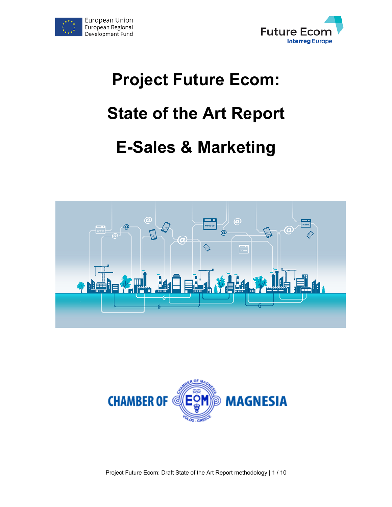



# **Project Future Ecom: State of the Art Report E-Sales & Marketing**





Project Future Ecom: Draft State of the Art Report methodology | 1 / 10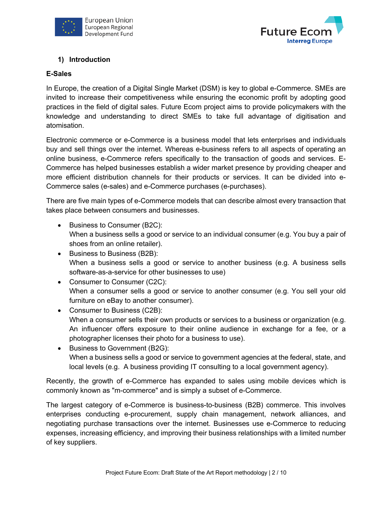



# **1) Introduction**

## **E-Sales**

In Europe, the creation of a Digital Single Market (DSM) is key to global e-Commerce. SMEs are invited to increase their competitiveness while ensuring the economic profit by adopting good practices in the field of digital sales. Future Ecom project aims to provide policymakers with the knowledge and understanding to direct SMEs to take full advantage of digitisation and atomisation.

Electronic commerce or e-Commerce is a business model that lets enterprises and individuals buy and sell things over the internet. Whereas e-business refers to all aspects of operating an online business, e-Commerce refers specifically to the transaction of goods and services. E-Commerce has helped businesses establish a wider market presence by providing cheaper and more efficient distribution channels for their products or services. It can be divided into e-Commerce sales (e-sales) and e-Commerce purchases (e-purchases).

There are five main types of e-Commerce models that can describe almost every transaction that takes place between consumers and businesses.

- Business to Consumer (B2C): When a business sells a good or service to an individual consumer (e.g. You buy a pair of shoes from an online retailer).
- Business to Business (B2B): When a business sells a good or service to another business (e.g. A business sells software-as-a-service for other businesses to use)
- Consumer to Consumer (C2C): When a consumer sells a good or service to another consumer (e.g. You sell your old furniture on eBay to another consumer).
- Consumer to Business (C2B): When a consumer sells their own products or services to a business or organization (e.g. An influencer offers exposure to their online audience in exchange for a fee, or a photographer licenses their photo for a business to use).
- Business to Government (B2G): When a business sells a good or service to government agencies at the federal, state, and local levels (e.g. A business providing IT consulting to a local government agency).

Recently, the growth of e-Commerce has expanded to sales using mobile devices which is commonly known as "m-commerce" and is simply a subset of e-Commerce.

The largest category of e-Commerce is business-to-business (B2B) commerce. This involves enterprises conducting e-procurement, supply chain management, network alliances, and negotiating purchase transactions over the internet. Businesses use e-Commerce to reducing expenses, increasing efficiency, and improving their business relationships with a limited number of key suppliers.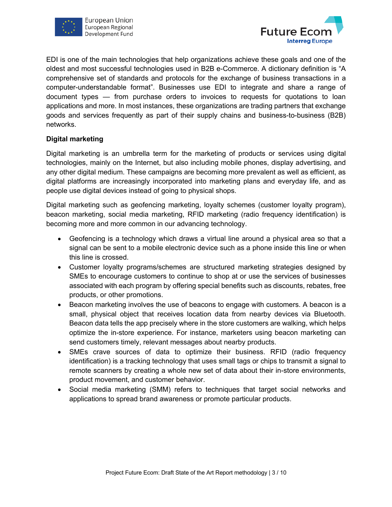



EDI is one of the main technologies that help organizations achieve these goals and one of the oldest and most successful technologies used in B2B e-Commerce. A dictionary definition is "A comprehensive set of standards and protocols for the exchange of business transactions in a computer-understandable format". Businesses use EDI to integrate and share a range of document types — from purchase orders to invoices to requests for quotations to loan applications and more. In most instances, these organizations are trading partners that exchange goods and services frequently as part of their supply chains and business-to-business (B2B) networks.

## **Digital marketing**

Digital marketing is an umbrella term for the marketing of products or services using digital technologies, mainly on the Internet, but also including mobile phones, display advertising, and any other digital medium. These campaigns are becoming more prevalent as well as efficient, as digital platforms are increasingly incorporated into marketing plans and everyday life, and as people use digital devices instead of going to physical shops.

Digital marketing such as geofencing marketing, loyalty schemes (customer loyalty program), beacon marketing, social media marketing, RFID marketing (radio frequency identification) is becoming more and more common in our advancing technology.

- Geofencing is a technology which draws a virtual line around a physical area so that a signal can be sent to a mobile electronic device such as a phone inside this line or when this line is crossed.
- Customer loyalty programs/schemes are structured marketing strategies designed by SMEs to encourage customers to continue to shop at or use the services of businesses associated with each program by offering special benefits such as discounts, rebates, free products, or other promotions.
- Beacon marketing involves the use of beacons to engage with customers. A beacon is a small, physical object that receives location data from nearby devices via Bluetooth. Beacon data tells the app precisely where in the store customers are walking, which helps optimize the in-store experience. For instance, marketers using beacon marketing can send customers timely, relevant messages about nearby products.
- SMEs crave sources of data to optimize their business. RFID (radio frequency identification) is a tracking technology that uses small tags or chips to transmit a signal to remote scanners by creating a whole new set of data about their in-store environments, product movement, and customer behavior.
- Social media marketing (SMM) refers to techniques that target social networks and applications to spread brand awareness or promote particular products.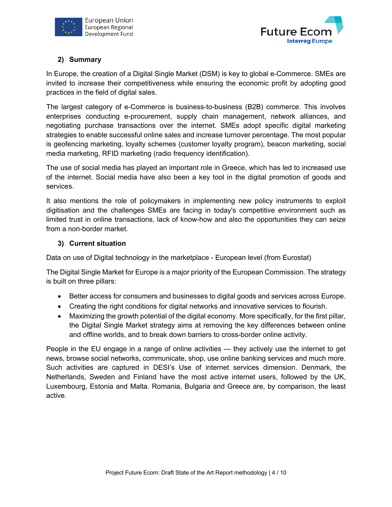



# **2) Summary**

In Europe, the creation of a Digital Single Market (DSM) is key to global e-Commerce. SMEs are invited to increase their competitiveness while ensuring the economic profit by adopting good practices in the field of digital sales.

The largest category of e-Commerce is business-to-business (B2B) commerce. This involves enterprises conducting e-procurement, supply chain management, network alliances, and negotiating purchase transactions over the internet. SMEs adopt specific digital marketing strategies to enable successful online sales and increase turnover percentage. The most popular is geofencing marketing, loyalty schemes (customer loyalty program), beacon marketing, social media marketing, RFID marketing (radio frequency identification).

The use of social media has played an important role in Greece, which has led to increased use of the internet. Social media have also been a key tool in the digital promotion of goods and services.

It also mentions the role of policymakers in implementing new policy instruments to exploit digitisation and the challenges SMEs are facing in today's competitive environment such as limited trust in online transactions, lack of know-how and also the opportunities they can seize from a non-border market.

## **3) Current situation**

Data on use of Digital technology in the marketplace - European level (from Eurostat)

The Digital Single Market for Europe is a major priority of the European Commission. The strategy is built on three pillars:

- Better access for consumers and businesses to digital goods and services across Europe.
- Creating the right conditions for digital networks and innovative services to flourish.
- Maximizing the growth potential of the digital economy. More specifically, for the first pillar, the Digital Single Market strategy aims at removing the key differences between online and offline worlds, and to break down barriers to cross-border online activity.

People in the EU engage in a range of online activities — they actively use the internet to get news, browse social networks, communicate, shop, use online banking services and much more. Such activities are captured in DESI's Use of internet services dimension. Denmark, the Netherlands, Sweden and Finland have the most active internet users, followed by the UK, Luxembourg, Estonia and Malta. Romania, Bulgaria and Greece are, by comparison, the least active.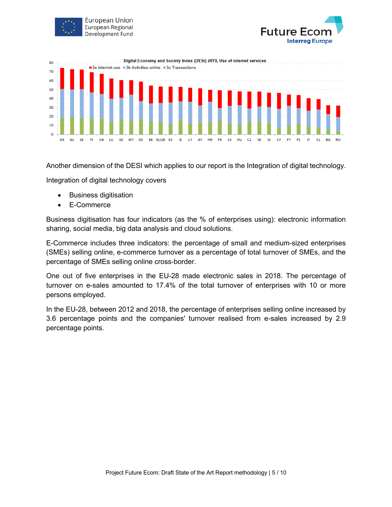





Another dimension of the DESI which applies to our report is the Integration of digital technology.

Integration of digital technology covers

- Business digitisation
- E-Commerce

Business digitisation has four indicators (as the % of enterprises using): electronic information sharing, social media, big data analysis and cloud solutions.

E-Commerce includes three indicators: the percentage of small and medium-sized enterprises (SMEs) selling online, e-commerce turnover as a percentage of total turnover of SMEs, and the percentage of SMEs selling online cross-border.

One out of five enterprises in the EU-28 made electronic sales in 2018. The percentage of turnover on e-sales amounted to 17.4% of the total turnover of enterprises with 10 or more persons employed.

In the EU-28, between 2012 and 2018, the percentage of enterprises selling online increased by 3.6 percentage points and the companies' turnover realised from e-sales increased by 2.9 percentage points.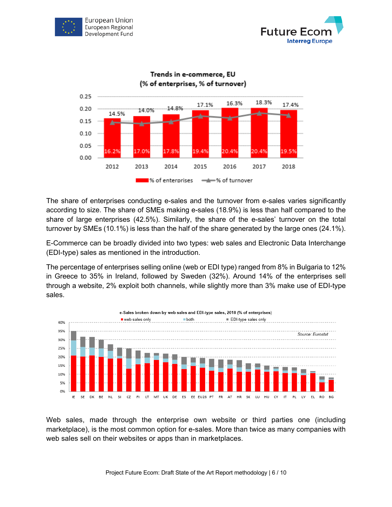





The share of enterprises conducting e-sales and the turnover from e-sales varies significantly according to size. The share of SMEs making e-sales (18.9%) is less than half compared to the share of large enterprises (42.5%). Similarly, the share of the e-sales' turnover on the total turnover by SMEs (10.1%) is less than the half of the share generated by the large ones (24.1%).

E-Commerce can be broadly divided into two types: web sales and Electronic Data Interchange (EDI-type) sales as mentioned in the introduction.

The percentage of enterprises selling online (web or EDI type) ranged from 8% in Bulgaria to 12% in Greece to 35% in Ireland, followed by Sweden (32%). Around 14% of the enterprises sell through a website, 2% exploit both channels, while slightly more than 3% make use of EDI-type sales.



Web sales, made through the enterprise own website or third parties one (including marketplace), is the most common option for e-sales. More than twice as many companies with web sales sell on their websites or apps than in marketplaces.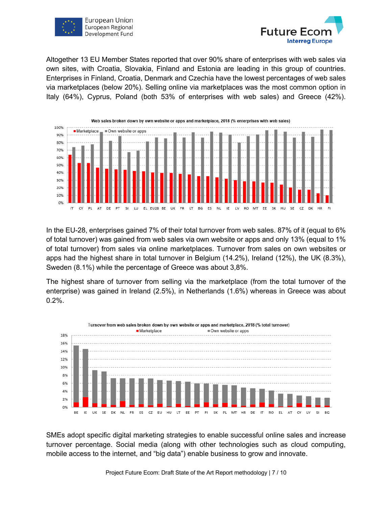



Altogether 13 EU Member States reported that over 90% share of enterprises with web sales via own sites, with Croatia, Slovakia, Finland and Estonia are leading in this group of countries. Enterprises in Finland, Croatia, Denmark and Czechia have the lowest percentages of web sales via marketplaces (below 20%). Selling online via marketplaces was the most common option in Italy (64%), Cyprus, Poland (both 53% of enterprises with web sales) and Greece (42%).



In the EU-28, enterprises gained 7% of their total turnover from web sales. 87% of it (equal to 6% of total turnover) was gained from web sales via own website or apps and only 13% (equal to 1% of total turnover) from sales via online marketplaces. Turnover from sales on own websites or apps had the highest share in total turnover in Belgium (14.2%), Ireland (12%), the UK (8.3%), Sweden (8.1%) while the percentage of Greece was about 3,8%.

The highest share of turnover from selling via the marketplace (from the total turnover of the enterprise) was gained in Ireland (2.5%), in Netherlands (1.6%) whereas in Greece was about 0.2%.



SMEs adopt specific digital marketing strategies to enable successful online sales and increase turnover percentage. Social media (along with other technologies such as cloud computing, mobile access to the internet, and "big data") enable business to grow and innovate.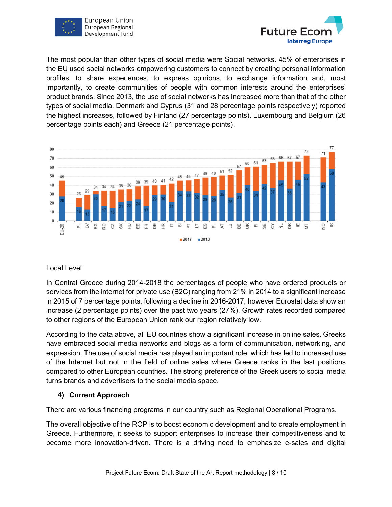



The most popular than other types of social media were Social networks. 45% of enterprises in the EU used social networks empowering customers to connect by creating personal information profiles, to share experiences, to express opinions, to exchange information and, most importantly, to create communities of people with common interests around the enterprises' product brands. Since 2013, the use of social networks has increased more than that of the other types of social media. Denmark and Cyprus (31 and 28 percentage points respectively) reported the highest increases, followed by Finland (27 percentage points), Luxembourg and Belgium (26 percentage points each) and Greece (21 percentage points).



## Local Level

In Central Greece during 2014-2018 the percentages of people who have ordered products or services from the internet for private use (B2C) ranging from 21% in 2014 to a significant increase in 2015 of 7 percentage points, following a decline in 2016-2017, however Eurostat data show an increase (2 percentage points) over the past two years (27%). Growth rates recorded compared to other regions of the European Union rank our region relatively low.

According to the data above, all EU countries show a significant increase in online sales. Greeks have embraced social media networks and blogs as a form of communication, networking, and expression. The use of social media has played an important role, which has led to increased use of the Internet but not in the field of online sales where Greece ranks in the last positions compared to other European countries. The strong preference of the Greek users to social media turns brands and advertisers to the social media space.

# **4) Current Approach**

There are various financing programs in our country such as Regional Operational Programs.

The overall objective of the ROP is to boost economic development and to create employment in Greece. Furthermore, it seeks to support enterprises to increase their competitiveness and to become more innovation-driven. There is a driving need to emphasize e-sales and digital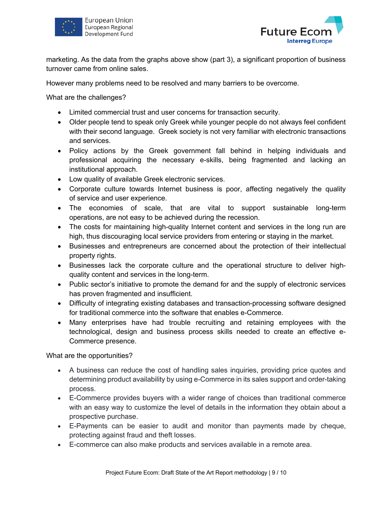



marketing. As the data from the graphs above show (part 3), a significant proportion of business turnover came from online sales.

However many problems need to be resolved and many barriers to be overcome.

What are the challenges?

- Limited commercial trust and user concerns for transaction security.
- Older people tend to speak only Greek while younger people do not always feel confident with their second language. Greek society is not very familiar with electronic transactions and services.
- Policy actions by the Greek government fall behind in helping individuals and professional acquiring the necessary e-skills, being fragmented and lacking an institutional approach.
- Low quality of available Greek electronic services.
- Corporate culture towards Internet business is poor, affecting negatively the quality of service and user experience.
- The economies of scale, that are vital to support sustainable long-term operations, are not easy to be achieved during the recession.
- The costs for maintaining high-quality Internet content and services in the long run are high, thus discouraging local service providers from entering or staying in the market.
- Businesses and entrepreneurs are concerned about the protection of their intellectual property rights.
- Businesses lack the corporate culture and the operational structure to deliver highquality content and services in the long-term.
- Public sector's initiative to promote the demand for and the supply of electronic services has proven fragmented and insufficient.
- Difficulty of integrating existing databases and transaction-processing software designed for traditional commerce into the software that enables e-Commerce.
- Many enterprises have had trouble recruiting and retaining employees with the technological, design and business process skills needed to create an effective e-Commerce presence.

What are the opportunities?

- A business can reduce the cost of handling sales inquiries, providing price quotes and determining product availability by using e-Commerce in its sales support and order-taking process.
- E-Commerce provides buyers with a wider range of choices than traditional commerce with an easy way to customize the level of details in the information they obtain about a prospective purchase.
- E-Payments can be easier to audit and monitor than payments made by cheque, protecting against fraud and theft losses.
- E-commerce can also make products and services available in a remote area.